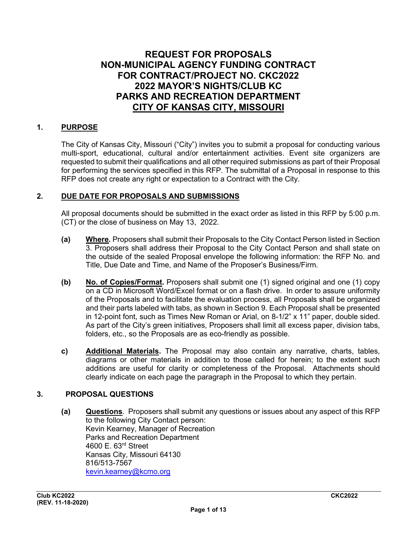# **REQUEST FOR PROPOSALS NON-MUNICIPAL AGENCY FUNDING CONTRACT FOR CONTRACT/PROJECT NO. CKC2022 2022 MAYOR'S NIGHTS/CLUB KC PARKS AND RECREATION DEPARTMENT CITY OF KANSAS CITY, MISSOURI**

## **1. PURPOSE**

The City of Kansas City, Missouri ("City") invites you to submit a proposal for conducting various multi-sport, educational, cultural and/or entertainment activities. Event site organizers are requested to submit their qualifications and all other required submissions as part of their Proposal for performing the services specified in this RFP. The submittal of a Proposal in response to this RFP does not create any right or expectation to a Contract with the City.

## **2. DUE DATE FOR PROPOSALS AND SUBMISSIONS**

All proposal documents should be submitted in the exact order as listed in this RFP by 5:00 p.m. (CT) or the close of business on May 13, 2022.

- **(a) Where***.* Proposers shall submit their Proposals to the City Contact Person listed in Section 3. Proposers shall address their Proposal to the City Contact Person and shall state on the outside of the sealed Proposal envelope the following information: the RFP No. and Title, Due Date and Time, and Name of the Proposer's Business/Firm.
- **(b) No. of Copies/Format.** Proposers shall submit one (1) signed original and one (1) copy on a CD in Microsoft Word/Excel format or on a flash drive. In order to assure uniformity of the Proposals and to facilitate the evaluation process, all Proposals shall be organized and their parts labeled with tabs, as shown in Section 9. Each Proposal shall be presented in 12-point font, such as Times New Roman or Arial, on 8-1/2" x 11" paper, double sided. As part of the City's green initiatives, Proposers shall limit all excess paper, division tabs, folders, etc., so the Proposals are as eco-friendly as possible.
- **c) Additional Materials.** The Proposal may also contain any narrative, charts, tables, diagrams or other materials in addition to those called for herein; to the extent such additions are useful for clarity or completeness of the Proposal. Attachments should clearly indicate on each page the paragraph in the Proposal to which they pertain.

#### **3. PROPOSAL QUESTIONS**

**(a) Questions**. Proposers shall submit any questions or issues about any aspect of this RFP to the following City Contact person: Kevin Kearney, Manager of Recreation Parks and Recreation Department 4600 E. 63rd Street Kansas City, Missouri 64130 816/513-7567 [kevin.kearney@kcmo.org](mailto:kevin.kearney@kcmo.org)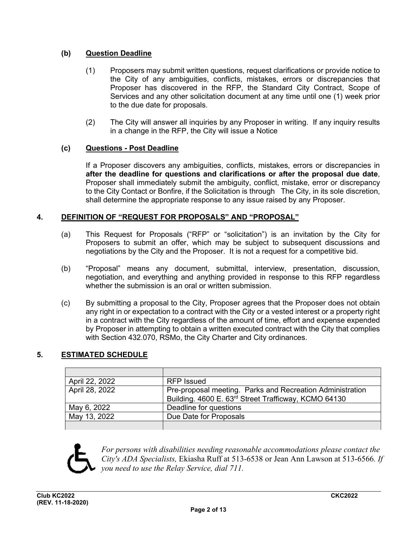# **(b) Question Deadline**

- (1) Proposers may submit written questions, request clarifications or provide notice to the City of any ambiguities, conflicts, mistakes, errors or discrepancies that Proposer has discovered in the RFP, the Standard City Contract, Scope of Services and any other solicitation document at any time until one (1) week prior to the due date for proposals.
- (2) The City will answer all inquiries by any Proposer in writing. If any inquiry results in a change in the RFP, the City will issue a Notice

# **(c) Questions - Post Deadline**

If a Proposer discovers any ambiguities, conflicts, mistakes, errors or discrepancies in **after the deadline for questions and clarifications or after the proposal due date**, Proposer shall immediately submit the ambiguity, conflict, mistake, error or discrepancy to the City Contact or Bonfire, if the Solicitation is through The City, in its sole discretion, shall determine the appropriate response to any issue raised by any Proposer.

## **4. DEFINITION OF "REQUEST FOR PROPOSALS" AND "PROPOSAL"**

- (a) This Request for Proposals ("RFP" or "solicitation") is an invitation by the City for Proposers to submit an offer, which may be subject to subsequent discussions and negotiations by the City and the Proposer. It is not a request for a competitive bid.
- (b) "Proposal" means any document, submittal, interview, presentation, discussion, negotiation, and everything and anything provided in response to this RFP regardless whether the submission is an oral or written submission.
- (c) By submitting a proposal to the City, Proposer agrees that the Proposer does not obtain any right in or expectation to a contract with the City or a vested interest or a property right in a contract with the City regardless of the amount of time, effort and expense expended by Proposer in attempting to obtain a written executed contract with the City that complies with Section 432.070, RSMo, the City Charter and City ordinances.

## **5. ESTIMATED SCHEDULE**

| April 22, 2022 | RFP Issued                                                                                                        |
|----------------|-------------------------------------------------------------------------------------------------------------------|
| April 28, 2022 | Pre-proposal meeting. Parks and Recreation Administration<br>Building. 4600 E. 63rd Street Trafficway, KCMO 64130 |
| May 6, 2022    | Deadline for questions                                                                                            |
| May 13, 2022   | Due Date for Proposals                                                                                            |
|                |                                                                                                                   |



*For persons with disabilities needing reasonable accommodations please contact the City's ADA Specialists,* Ekiasha Ruff at 513-6538 or Jean Ann Lawson at 513-6566*. If you need to use the Relay Service, dial 711.*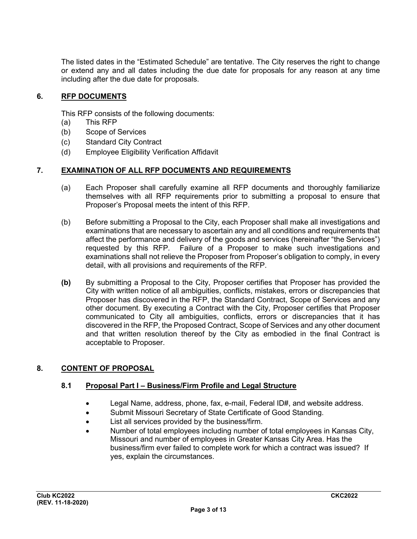The listed dates in the "Estimated Schedule" are tentative. The City reserves the right to change or extend any and all dates including the due date for proposals for any reason at any time including after the due date for proposals.

#### **6. RFP DOCUMENTS**

This RFP consists of the following documents:

- (a) This RFP
- (b) Scope of Services
- (c) Standard City Contract
- (d) Employee Eligibility Verification Affidavit

#### **7. EXAMINATION OF ALL RFP DOCUMENTS AND REQUIREMENTS**

- (a) Each Proposer shall carefully examine all RFP documents and thoroughly familiarize themselves with all RFP requirements prior to submitting a proposal to ensure that Proposer's Proposal meets the intent of this RFP.
- (b) Before submitting a Proposal to the City, each Proposer shall make all investigations and examinations that are necessary to ascertain any and all conditions and requirements that affect the performance and delivery of the goods and services (hereinafter "the Services") requested by this RFP. Failure of a Proposer to make such investigations and examinations shall not relieve the Proposer from Proposer's obligation to comply, in every detail, with all provisions and requirements of the RFP.
- **(b)** By submitting a Proposal to the City, Proposer certifies that Proposer has provided the City with written notice of all ambiguities, conflicts, mistakes, errors or discrepancies that Proposer has discovered in the RFP, the Standard Contract, Scope of Services and any other document. By executing a Contract with the City, Proposer certifies that Proposer communicated to City all ambiguities, conflicts, errors or discrepancies that it has discovered in the RFP, the Proposed Contract, Scope of Services and any other document and that written resolution thereof by the City as embodied in the final Contract is acceptable to Proposer.

## **8. CONTENT OF PROPOSAL**

#### **8.1 Proposal Part I – Business/Firm Profile and Legal Structure**

- Legal Name, address, phone, fax, e-mail, Federal ID#, and website address.
- Submit Missouri Secretary of State Certificate of Good Standing.
- List all services provided by the business/firm.
- Number of total employees including number of total employees in Kansas City, Missouri and number of employees in Greater Kansas City Area. Has the business/firm ever failed to complete work for which a contract was issued? If yes, explain the circumstances.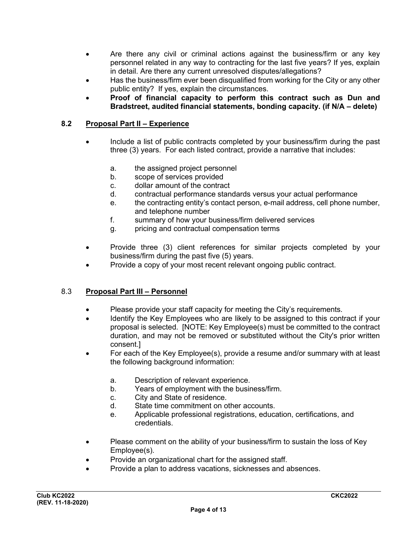- Are there any civil or criminal actions against the business/firm or any key personnel related in any way to contracting for the last five years? If yes, explain in detail. Are there any current unresolved disputes/allegations?
- Has the business/firm ever been disqualified from working for the City or any other public entity? If yes, explain the circumstances.
- **Proof of financial capacity to perform this contract such as Dun and Bradstreet, audited financial statements, bonding capacity. (if N/A – delete)**

#### **8.2 Proposal Part II – Experience**

- Include a list of public contracts completed by your business/firm during the past three (3) years. For each listed contract, provide a narrative that includes:
	- a. the assigned project personnel
	- b. scope of services provided
	- c. dollar amount of the contract
	- d. contractual performance standards versus your actual performance
	- e. the contracting entity's contact person, e-mail address, cell phone number, and telephone number
	- f. summary of how your business/firm delivered services
	- g. pricing and contractual compensation terms
- Provide three (3) client references for similar projects completed by your business/firm during the past five (5) years.
- Provide a copy of your most recent relevant ongoing public contract.

#### 8.3 **Proposal Part III – Personnel**

- Please provide your staff capacity for meeting the City's requirements.
- Identify the Key Employees who are likely to be assigned to this contract if your proposal is selected. [NOTE: Key Employee(s) must be committed to the contract duration, and may not be removed or substituted without the City's prior written consent.]
- For each of the Key Employee(s), provide a resume and/or summary with at least the following background information:
	- a. Description of relevant experience.
	- b. Years of employment with the business/firm.
	- c. City and State of residence.
	- d. State time commitment on other accounts.
	- e. Applicable professional registrations, education, certifications, and credentials.
- Please comment on the ability of your business/firm to sustain the loss of Key Employee(s).
- Provide an organizational chart for the assigned staff.
- Provide a plan to address vacations, sicknesses and absences.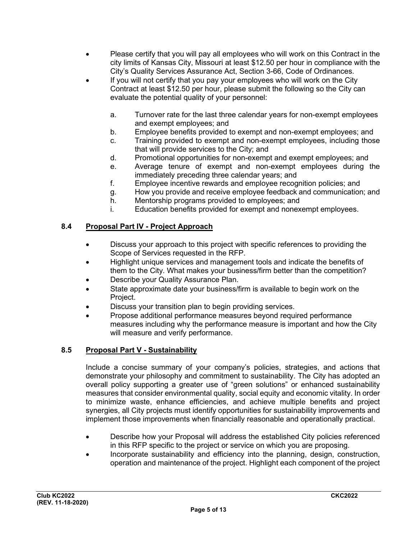- Please certify that you will pay all employees who will work on this Contract in the city limits of Kansas City, Missouri at least \$12.50 per hour in compliance with the City's Quality Services Assurance Act, Section 3-66, Code of Ordinances.
- If you will not certify that you pay your employees who will work on the City Contract at least \$12.50 per hour, please submit the following so the City can evaluate the potential quality of your personnel:
	- a. Turnover rate for the last three calendar years for non-exempt employees and exempt employees; and
	- b. Employee benefits provided to exempt and non-exempt employees; and
	- c. Training provided to exempt and non-exempt employees, including those that will provide services to the City; and
	- d. Promotional opportunities for non-exempt and exempt employees; and
	- e. Average tenure of exempt and non-exempt employees during the immediately preceding three calendar years; and
	- f. Employee incentive rewards and employee recognition policies; and
	- g. How you provide and receive employee feedback and communication; and
	- h. Mentorship programs provided to employees; and
	- i. Education benefits provided for exempt and nonexempt employees.

# **8.4 Proposal Part IV - Project Approach**

- Discuss your approach to this project with specific references to providing the Scope of Services requested in the RFP.
- Highlight unique services and management tools and indicate the benefits of them to the City. What makes your business/firm better than the competition?
- Describe your Quality Assurance Plan.
- State approximate date your business/firm is available to begin work on the Project.
- Discuss your transition plan to begin providing services.
- Propose additional performance measures beyond required performance measures including why the performance measure is important and how the City will measure and verify performance.

## **8.5 Proposal Part V - Sustainability**

Include a concise summary of your company's policies, strategies, and actions that demonstrate your philosophy and commitment to sustainability. The City has adopted an overall policy supporting a greater use of "green solutions" or enhanced sustainability measures that consider environmental quality, social equity and economic vitality. In order to minimize waste, enhance efficiencies, and achieve multiple benefits and project synergies, all City projects must identify opportunities for sustainability improvements and implement those improvements when financially reasonable and operationally practical.

- Describe how your Proposal will address the established City policies referenced in this RFP specific to the project or service on which you are proposing.
- Incorporate sustainability and efficiency into the planning, design, construction, operation and maintenance of the project. Highlight each component of the project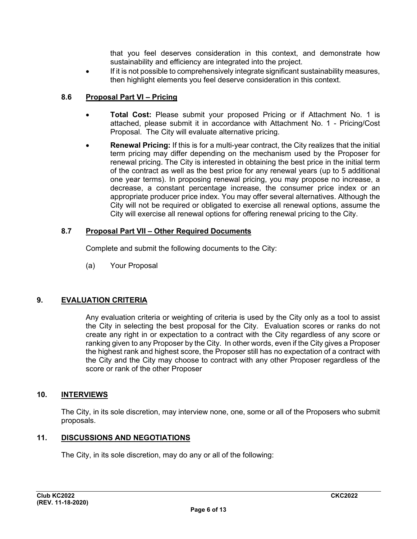that you feel deserves consideration in this context, and demonstrate how sustainability and efficiency are integrated into the project.

If it is not possible to comprehensively integrate significant sustainability measures, then highlight elements you feel deserve consideration in this context.

## **8.6 Proposal Part VI – Pricing**

- **Total Cost:** Please submit your proposed Pricing or if Attachment No. 1 is attached, please submit it in accordance with Attachment No. 1 - Pricing/Cost Proposal. The City will evaluate alternative pricing.
- **Renewal Pricing:** If this is for a multi-year contract, the City realizes that the initial term pricing may differ depending on the mechanism used by the Proposer for renewal pricing. The City is interested in obtaining the best price in the initial term of the contract as well as the best price for any renewal years (up to 5 additional one year terms). In proposing renewal pricing, you may propose no increase, a decrease, a constant percentage increase, the consumer price index or an appropriate producer price index. You may offer several alternatives. Although the City will not be required or obligated to exercise all renewal options, assume the City will exercise all renewal options for offering renewal pricing to the City.

#### **8.7 Proposal Part VII – Other Required Documents**

Complete and submit the following documents to the City:

(a) Your Proposal

## **9. EVALUATION CRITERIA**

Any evaluation criteria or weighting of criteria is used by the City only as a tool to assist the City in selecting the best proposal for the City. Evaluation scores or ranks do not create any right in or expectation to a contract with the City regardless of any score or ranking given to any Proposer by the City. In other words, even if the City gives a Proposer the highest rank and highest score, the Proposer still has no expectation of a contract with the City and the City may choose to contract with any other Proposer regardless of the score or rank of the other Proposer

## **10. INTERVIEWS**

The City, in its sole discretion, may interview none, one, some or all of the Proposers who submit proposals.

## **11. DISCUSSIONS AND NEGOTIATIONS**

The City, in its sole discretion, may do any or all of the following: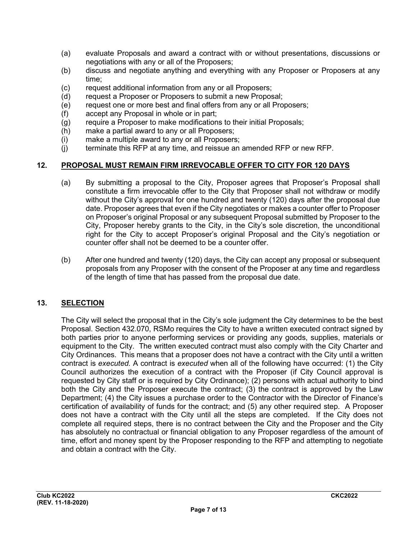- (a) evaluate Proposals and award a contract with or without presentations, discussions or negotiations with any or all of the Proposers;
- (b) discuss and negotiate anything and everything with any Proposer or Proposers at any time;
- (c) request additional information from any or all Proposers;
- (d) request a Proposer or Proposers to submit a new Proposal;
- (e) request one or more best and final offers from any or all Proposers;
- (f) accept any Proposal in whole or in part;
- (g) require a Proposer to make modifications to their initial Proposals;
- (h) make a partial award to any or all Proposers;<br>(i) make a multiple award to any or all Proposers
- make a multiple award to any or all Proposers;
- (j) terminate this RFP at any time, and reissue an amended RFP or new RFP.

#### **12. PROPOSAL MUST REMAIN FIRM IRREVOCABLE OFFER TO CITY FOR 120 DAYS**

- (a) By submitting a proposal to the City, Proposer agrees that Proposer's Proposal shall constitute a firm irrevocable offer to the City that Proposer shall not withdraw or modify without the City's approval for one hundred and twenty (120) days after the proposal due date. Proposer agrees that even if the City negotiates or makes a counter offer to Proposer on Proposer's original Proposal or any subsequent Proposal submitted by Proposer to the City, Proposer hereby grants to the City, in the City's sole discretion, the unconditional right for the City to accept Proposer's original Proposal and the City's negotiation or counter offer shall not be deemed to be a counter offer.
- (b) After one hundred and twenty (120) days, the City can accept any proposal or subsequent proposals from any Proposer with the consent of the Proposer at any time and regardless of the length of time that has passed from the proposal due date.

## **13. SELECTION**

The City will select the proposal that in the City's sole judgment the City determines to be the best Proposal. Section 432.070, RSMo requires the City to have a written executed contract signed by both parties prior to anyone performing services or providing any goods, supplies, materials or equipment to the City. The written executed contract must also comply with the City Charter and City Ordinances. This means that a proposer does not have a contract with the City until a written contract is *executed.* A contract is *executed* when all of the following have occurred: (1) the City Council authorizes the execution of a contract with the Proposer (if City Council approval is requested by City staff or is required by City Ordinance); (2) persons with actual authority to bind both the City and the Proposer execute the contract; (3) the contract is approved by the Law Department; (4) the City issues a purchase order to the Contractor with the Director of Finance's certification of availability of funds for the contract; and (5) any other required step. A Proposer does not have a contract with the City until all the steps are completed. If the City does not complete all required steps, there is no contract between the City and the Proposer and the City has absolutely no contractual or financial obligation to any Proposer regardless of the amount of time, effort and money spent by the Proposer responding to the RFP and attempting to negotiate and obtain a contract with the City.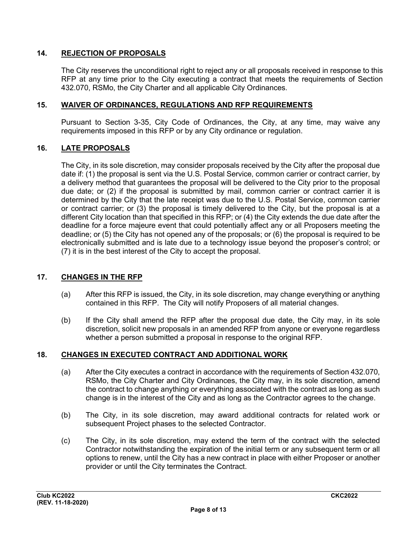## **14. REJECTION OF PROPOSALS**

The City reserves the unconditional right to reject any or all proposals received in response to this RFP at any time prior to the City executing a contract that meets the requirements of Section 432.070, RSMo, the City Charter and all applicable City Ordinances.

#### **15. WAIVER OF ORDINANCES, REGULATIONS AND RFP REQUIREMENTS**

Pursuant to Section 3-35, City Code of Ordinances, the City, at any time, may waive any requirements imposed in this RFP or by any City ordinance or regulation.

#### **16. LATE PROPOSALS**

The City, in its sole discretion, may consider proposals received by the City after the proposal due date if: (1) the proposal is sent via the U.S. Postal Service, common carrier or contract carrier, by a delivery method that guarantees the proposal will be delivered to the City prior to the proposal due date; or (2) if the proposal is submitted by mail, common carrier or contract carrier it is determined by the City that the late receipt was due to the U.S. Postal Service, common carrier or contract carrier; or (3) the proposal is timely delivered to the City, but the proposal is at a different City location than that specified in this RFP; or (4) the City extends the due date after the deadline for a force majeure event that could potentially affect any or all Proposers meeting the deadline; or (5) the City has not opened any of the proposals; or (6) the proposal is required to be electronically submitted and is late due to a technology issue beyond the proposer's control; or (7) it is in the best interest of the City to accept the proposal.

#### **17. CHANGES IN THE RFP**

- (a) After this RFP is issued, the City, in its sole discretion, may change everything or anything contained in this RFP. The City will notify Proposers of all material changes.
- (b) If the City shall amend the RFP after the proposal due date, the City may, in its sole discretion, solicit new proposals in an amended RFP from anyone or everyone regardless whether a person submitted a proposal in response to the original RFP.

#### **18. CHANGES IN EXECUTED CONTRACT AND ADDITIONAL WORK**

- (a) After the City executes a contract in accordance with the requirements of Section 432.070, RSMo, the City Charter and City Ordinances, the City may, in its sole discretion, amend the contract to change anything or everything associated with the contract as long as such change is in the interest of the City and as long as the Contractor agrees to the change.
- (b) The City, in its sole discretion, may award additional contracts for related work or subsequent Project phases to the selected Contractor.
- (c) The City, in its sole discretion, may extend the term of the contract with the selected Contractor notwithstanding the expiration of the initial term or any subsequent term or all options to renew, until the City has a new contract in place with either Proposer or another provider or until the City terminates the Contract.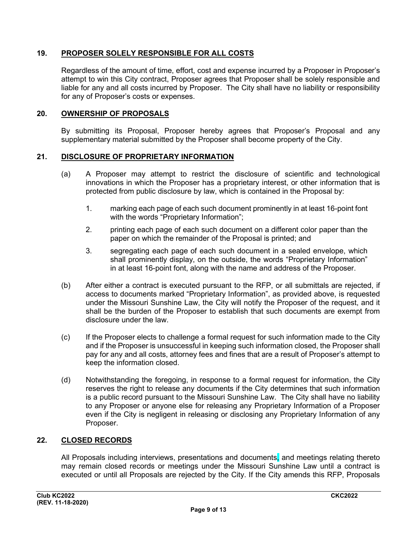## **19. PROPOSER SOLELY RESPONSIBLE FOR ALL COSTS**

Regardless of the amount of time, effort, cost and expense incurred by a Proposer in Proposer's attempt to win this City contract, Proposer agrees that Proposer shall be solely responsible and liable for any and all costs incurred by Proposer. The City shall have no liability or responsibility for any of Proposer's costs or expenses.

#### **20. OWNERSHIP OF PROPOSALS**

By submitting its Proposal, Proposer hereby agrees that Proposer's Proposal and any supplementary material submitted by the Proposer shall become property of the City.

#### **21. DISCLOSURE OF PROPRIETARY INFORMATION**

- (a) A Proposer may attempt to restrict the disclosure of scientific and technological innovations in which the Proposer has a proprietary interest, or other information that is protected from public disclosure by law, which is contained in the Proposal by:
	- 1. marking each page of each such document prominently in at least 16-point font with the words "Proprietary Information";
	- 2. printing each page of each such document on a different color paper than the paper on which the remainder of the Proposal is printed; and
	- 3. segregating each page of each such document in a sealed envelope, which shall prominently display, on the outside, the words "Proprietary Information" in at least 16-point font, along with the name and address of the Proposer.
- (b) After either a contract is executed pursuant to the RFP, or all submittals are rejected, if access to documents marked "Proprietary Information", as provided above, is requested under the Missouri Sunshine Law, the City will notify the Proposer of the request, and it shall be the burden of the Proposer to establish that such documents are exempt from disclosure under the law.
- (c) If the Proposer elects to challenge a formal request for such information made to the City and if the Proposer is unsuccessful in keeping such information closed, the Proposer shall pay for any and all costs, attorney fees and fines that are a result of Proposer's attempt to keep the information closed.
- (d) Notwithstanding the foregoing, in response to a formal request for information, the City reserves the right to release any documents if the City determines that such information is a public record pursuant to the Missouri Sunshine Law. The City shall have no liability to any Proposer or anyone else for releasing any Proprietary Information of a Proposer even if the City is negligent in releasing or disclosing any Proprietary Information of any Proposer.

#### **22. CLOSED RECORDS**

All Proposals including interviews, presentations and documents, and meetings relating thereto may remain closed records or meetings under the Missouri Sunshine Law until a contract is executed or until all Proposals are rejected by the City. If the City amends this RFP, Proposals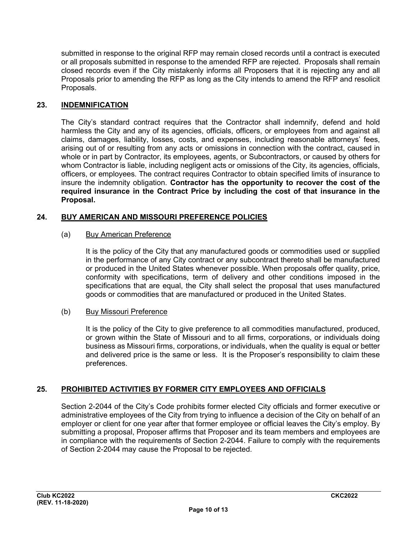submitted in response to the original RFP may remain closed records until a contract is executed or all proposals submitted in response to the amended RFP are rejected. Proposals shall remain closed records even if the City mistakenly informs all Proposers that it is rejecting any and all Proposals prior to amending the RFP as long as the City intends to amend the RFP and resolicit Proposals.

#### **23. INDEMNIFICATION**

The City's standard contract requires that the Contractor shall indemnify, defend and hold harmless the City and any of its agencies, officials, officers, or employees from and against all claims, damages, liability, losses, costs, and expenses, including reasonable attorneys' fees, arising out of or resulting from any acts or omissions in connection with the contract, caused in whole or in part by Contractor, its employees, agents, or Subcontractors, or caused by others for whom Contractor is liable, including negligent acts or omissions of the City, its agencies, officials, officers, or employees. The contract requires Contractor to obtain specified limits of insurance to insure the indemnity obligation. **Contractor has the opportunity to recover the cost of the required insurance in the Contract Price by including the cost of that insurance in the Proposal.**

#### **24. BUY AMERICAN AND MISSOURI PREFERENCE POLICIES**

#### (a) Buy American Preference

It is the policy of the City that any manufactured goods or commodities used or supplied in the performance of any City contract or any subcontract thereto shall be manufactured or produced in the United States whenever possible. When proposals offer quality, price, conformity with specifications, term of delivery and other conditions imposed in the specifications that are equal, the City shall select the proposal that uses manufactured goods or commodities that are manufactured or produced in the United States.

#### (b) Buy Missouri Preference

It is the policy of the City to give preference to all commodities manufactured, produced, or grown within the State of Missouri and to all firms, corporations, or individuals doing business as Missouri firms, corporations, or individuals, when the quality is equal or better and delivered price is the same or less. It is the Proposer's responsibility to claim these preferences.

#### **25. PROHIBITED ACTIVITIES BY FORMER CITY EMPLOYEES AND OFFICIALS**

Section 2-2044 of the City's Code prohibits former elected City officials and former executive or administrative employees of the City from trying to influence a decision of the City on behalf of an employer or client for one year after that former employee or official leaves the City's employ. By submitting a proposal, Proposer affirms that Proposer and its team members and employees are in compliance with the requirements of Section 2-2044. Failure to comply with the requirements of Section 2-2044 may cause the Proposal to be rejected.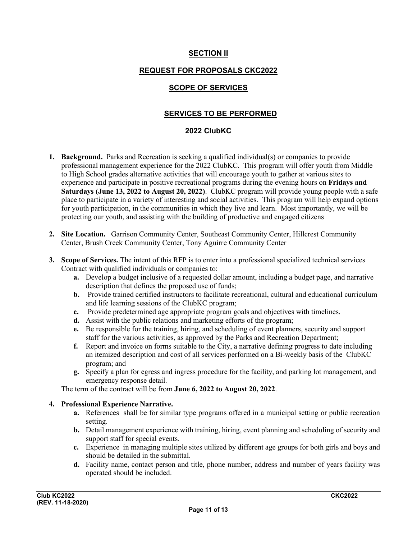## **SECTION II**

## **REQUEST FOR PROPOSALS CKC2022**

## **SCOPE OF SERVICES**

## **SERVICES TO BE PERFORMED**

#### **2022 ClubKC**

- **1. Background.** Parks and Recreation is seeking a qualified individual(s) or companies to provide professional management experience for the 2022 ClubKC. This program will offer youth from Middle to High School grades alternative activities that will encourage youth to gather at various sites to experience and participate in positive recreational programs during the evening hours on **Fridays and Saturdays (June 13, 2022 to August 20, 2022)**. ClubKC program will provide young people with a safe place to participate in a variety of interesting and social activities. This program will help expand options for youth participation, in the communities in which they live and learn. Most importantly, we will be protecting our youth, and assisting with the building of productive and engaged citizens
- **2. Site Location.** Garrison Community Center, Southeast Community Center, Hillcrest Community Center, Brush Creek Community Center, Tony Aguirre Community Center
- **3. Scope of Services.** The intent of this RFP is to enter into a professional specialized technical services Contract with qualified individuals or companies to:
	- **a.** Develop a budget inclusive of a requested dollar amount, including a budget page, and narrative description that defines the proposed use of funds;
	- **b.** Provide trained certified instructors to facilitate recreational, cultural and educational curriculum and life learning sessions of the ClubKC program;
	- **c.** Provide predetermined age appropriate program goals and objectives with timelines.
	- **d.** Assist with the public relations and marketing efforts of the program;
	- **e.** Be responsible for the training, hiring, and scheduling of event planners, security and support staff for the various activities, as approved by the Parks and Recreation Department;
	- **f.** Report and invoice on forms suitable to the City, a narrative defining progress to date including an itemized description and cost of all services performed on a Bi-weekly basis of the ClubKC program; and
	- **g.** Specify a plan for egress and ingress procedure for the facility, and parking lot management, and emergency response detail.

The term of the contract will be from **June 6, 2022 to August 20, 2022**.

#### **4. Professional Experience Narrative.**

- **a.** References shall be for similar type programs offered in a municipal setting or public recreation setting.
- **b.** Detail management experience with training, hiring, event planning and scheduling of security and support staff for special events.
- **c.** Experience in managing multiple sites utilized by different age groups for both girls and boys and should be detailed in the submittal.
- **d.** Facility name, contact person and title, phone number, address and number of years facility was operated should be included.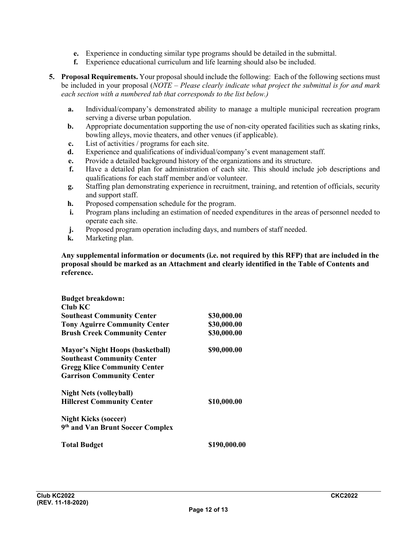- **e.** Experience in conducting similar type programs should be detailed in the submittal.
- **f.** Experience educational curriculum and life learning should also be included.
- **5. Proposal Requirements.** Your proposal should include the following: Each of the following sections must be included in your proposal (*NOTE – Please clearly indicate what project the submittal is for and mark each section with a numbered tab that corresponds to the list below.)*
	- **a.** Individual/company's demonstrated ability to manage a multiple municipal recreation program serving a diverse urban population.
	- **b.** Appropriate documentation supporting the use of non-city operated facilities such as skating rinks, bowling alleys, movie theaters, and other venues (if applicable).
	- **c.** List of activities / programs for each site.
	- **d.** Experience and qualifications of individual/company's event management staff.
	- **e.** Provide a detailed background history of the organizations and its structure.
	- **f.** Have a detailed plan for administration of each site. This should include job descriptions and qualifications for each staff member and/or volunteer.
	- **g.** Staffing plan demonstrating experience in recruitment, training, and retention of officials, security and support staff.
	- **h.** Proposed compensation schedule for the program.
	- **i.** Program plans including an estimation of needed expenditures in the areas of personnel needed to operate each site.
	- **j.** Proposed program operation including days, and numbers of staff needed.
	- **k.** Marketing plan.

**Any supplemental information or documents (i.e. not required by this RFP) that are included in the proposal should be marked as an Attachment and clearly identified in the Table of Contents and reference.**

| <b>Budget breakdown:</b>                     |              |
|----------------------------------------------|--------------|
| Club KC                                      |              |
| <b>Southeast Community Center</b>            | \$30,000.00  |
| <b>Tony Aguirre Community Center</b>         | \$30,000.00  |
| <b>Brush Creek Community Center</b>          | \$30,000.00  |
| <b>Mayor's Night Hoops (basketball)</b>      | \$90,000.00  |
| <b>Southeast Community Center</b>            |              |
| <b>Gregg Klice Community Center</b>          |              |
| <b>Garrison Community Center</b>             |              |
| <b>Night Nets (volleyball)</b>               |              |
| <b>Hillcrest Community Center</b>            | \$10,000.00  |
| <b>Night Kicks (soccer)</b>                  |              |
| 9 <sup>th</sup> and Van Brunt Soccer Complex |              |
| <b>Total Budget</b>                          | \$190,000.00 |
|                                              |              |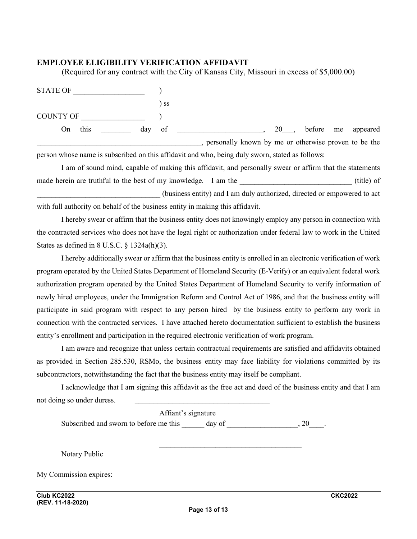#### **EMPLOYEE ELIGIBILITY VERIFICATION AFFIDAVIT**

(Required for any contract with the City of Kansas City, Missouri in excess of \$5,000.00)

STATE OF  $\qquad \qquad$  ) ) ss COUNTY OF  $\qquad \qquad$  ) On this \_\_\_\_\_\_\_ day of \_\_\_\_\_\_\_\_\_\_\_\_\_\_\_\_\_\_\_, 20\_\_\_, before me appeared \_\_\_\_\_\_\_\_\_\_\_\_\_\_\_\_\_\_\_\_\_\_\_\_\_\_\_\_\_\_\_\_\_\_\_\_\_\_\_\_\_\_\_\_, personally known by me or otherwise proven to be the

person whose name is subscribed on this affidavit and who, being duly sworn, stated as follows:

I am of sound mind, capable of making this affidavit, and personally swear or affirm that the statements made herein are truthful to the best of my knowledge. I am the truthful of  $(title)$  of \_\_\_\_\_\_\_\_\_\_\_\_\_\_\_\_\_\_\_\_\_\_\_\_\_\_\_\_\_\_\_\_\_ (business entity) and I am duly authorized, directed or empowered to act with full authority on behalf of the business entity in making this affidavit.

I hereby swear or affirm that the business entity does not knowingly employ any person in connection with the contracted services who does not have the legal right or authorization under federal law to work in the United States as defined in 8 U.S.C. § 1324a(h)(3).

I hereby additionally swear or affirm that the business entity is enrolled in an electronic verification of work program operated by the United States Department of Homeland Security (E-Verify) or an equivalent federal work authorization program operated by the United States Department of Homeland Security to verify information of newly hired employees, under the Immigration Reform and Control Act of 1986, and that the business entity will participate in said program with respect to any person hired by the business entity to perform any work in connection with the contracted services. I have attached hereto documentation sufficient to establish the business entity's enrollment and participation in the required electronic verification of work program.

I am aware and recognize that unless certain contractual requirements are satisfied and affidavits obtained as provided in Section 285.530, RSMo, the business entity may face liability for violations committed by its subcontractors, notwithstanding the fact that the business entity may itself be compliant.

I acknowledge that I am signing this affidavit as the free act and deed of the business entity and that I am not doing so under duress.

| Affiant's signature                    |        |                |
|----------------------------------------|--------|----------------|
| Subscribed and sworn to before me this | day of | , 20           |
|                                        |        |                |
| Notary Public                          |        |                |
| My Commission expires:                 |        |                |
| Club KC2022                            |        | <b>CKC2022</b> |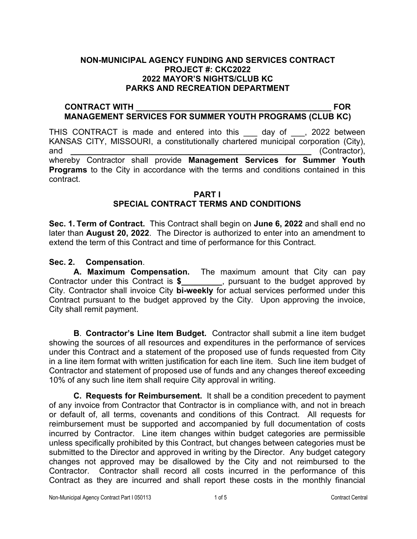## **NON-MUNICIPAL AGENCY FUNDING AND SERVICES CONTRACT PROJECT #: CKC2022 2022 MAYOR'S NIGHTS/CLUB KC PARKS AND RECREATION DEPARTMENT**

#### **CONTRACT WITH \_\_\_\_\_\_\_\_\_\_\_\_\_\_\_\_\_\_\_\_\_\_\_\_\_\_\_\_\_\_\_\_\_\_\_\_\_\_\_\_\_\_\_ FOR MANAGEMENT SERVICES FOR SUMMER YOUTH PROGRAMS (CLUB KC)**

THIS CONTRACT is made and entered into this \_\_\_ day of \_\_\_, 2022 between KANSAS CITY, MISSOURI, a constitutionally chartered municipal corporation (City), and **and and** *and and* **<b>***and and and <i>and***</del>** *<i>and***</del>** *<b><i>and***</del>** *<i>and***</del>** *<i>and***</del>** *<b><i>and and and and and and and and and and and and and**and and* whereby Contractor shall provide **Management Services for Summer Youth Programs** to the City in accordance with the terms and conditions contained in this contract.

#### **PART I SPECIAL CONTRACT TERMS AND CONDITIONS**

**Sec. 1. Term of Contract.** This Contract shall begin on **June 6, 2022** and shall end no later than **August 20, 2022**. The Director is authorized to enter into an amendment to extend the term of this Contract and time of performance for this Contract.

# **Sec. 2. Compensation**.

**A. Maximum Compensation.** The maximum amount that City can pay Contractor under this Contract is **\$\_\_\_\_\_\_\_\_\_**, pursuant to the budget approved by City. Contractor shall invoice City **bi-weekly** for actual services performed under this Contract pursuant to the budget approved by the City. Upon approving the invoice, City shall remit payment.

**B**. **Contractor's Line Item Budget.** Contractor shall submit a line item budget showing the sources of all resources and expenditures in the performance of services under this Contract and a statement of the proposed use of funds requested from City in a line item format with written justification for each line item. Such line item budget of Contractor and statement of proposed use of funds and any changes thereof exceeding 10% of any such line item shall require City approval in writing.

**C. Requests for Reimbursement.** It shall be a condition precedent to payment of any invoice from Contractor that Contractor is in compliance with, and not in breach or default of, all terms, covenants and conditions of this Contract. All requests for reimbursement must be supported and accompanied by full documentation of costs incurred by Contractor. Line item changes within budget categories are permissible unless specifically prohibited by this Contract, but changes between categories must be submitted to the Director and approved in writing by the Director. Any budget category changes not approved may be disallowed by the City and not reimbursed to the Contractor. Contractor shall record all costs incurred in the performance of this Contract as they are incurred and shall report these costs in the monthly financial

Non-Municipal Agency Contract Part I 050113 1 of 5 Contract Central Contract Central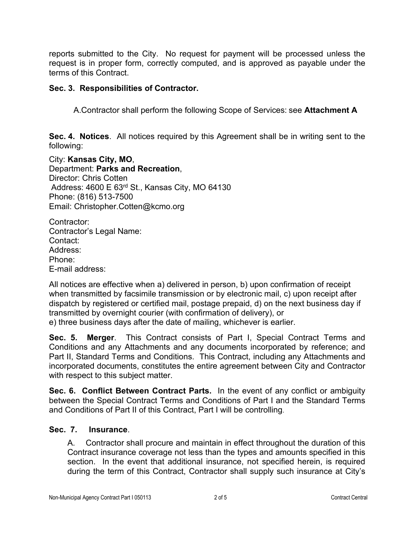reports submitted to the City. No request for payment will be processed unless the request is in proper form, correctly computed, and is approved as payable under the terms of this Contract.

# **Sec. 3. Responsibilities of Contractor.**

A.Contractor shall perform the following Scope of Services: see **Attachment A**

**Sec. 4. Notices**. All notices required by this Agreement shall be in writing sent to the following:

City: **Kansas City, MO**, Department: **Parks and Recreation**, Director: Chris Cotten Address: 4600 E 63rd St., Kansas City, MO 64130 Phone: (816) 513-7500 Email: Christopher.Cotten@kcmo.org

Contractor: Contractor's Legal Name: Contact: Address: Phone: E-mail address:

All notices are effective when a) delivered in person, b) upon confirmation of receipt when transmitted by facsimile transmission or by electronic mail, c) upon receipt after dispatch by registered or certified mail, postage prepaid, d) on the next business day if transmitted by overnight courier (with confirmation of delivery), or

e) three business days after the date of mailing, whichever is earlier.

**Sec. 5. Merger**. This Contract consists of Part I, Special Contract Terms and Conditions and any Attachments and any documents incorporated by reference; and Part II, Standard Terms and Conditions. This Contract, including any Attachments and incorporated documents, constitutes the entire agreement between City and Contractor with respect to this subject matter.

**Sec. 6. Conflict Between Contract Parts.** In the event of any conflict or ambiguity between the Special Contract Terms and Conditions of Part I and the Standard Terms and Conditions of Part II of this Contract, Part I will be controlling.

# **Sec. 7. Insurance**.

A. Contractor shall procure and maintain in effect throughout the duration of this Contract insurance coverage not less than the types and amounts specified in this section. In the event that additional insurance, not specified herein, is required during the term of this Contract, Contractor shall supply such insurance at City's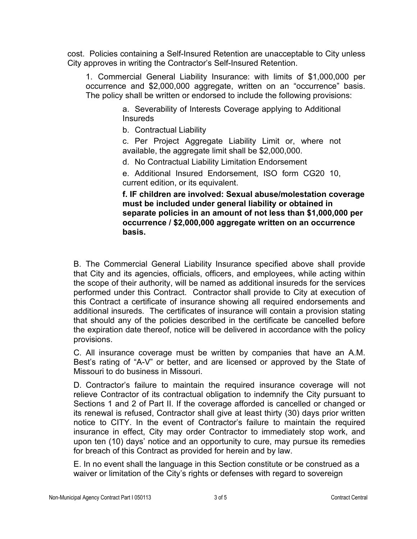cost. Policies containing a Self-Insured Retention are unacceptable to City unless City approves in writing the Contractor's Self-Insured Retention.

1. Commercial General Liability Insurance: with limits of \$1,000,000 per occurrence and \$2,000,000 aggregate, written on an "occurrence" basis. The policy shall be written or endorsed to include the following provisions:

> a. Severability of Interests Coverage applying to Additional **Insureds**

b. Contractual Liability

c. Per Project Aggregate Liability Limit or, where not available, the aggregate limit shall be \$2,000,000.

d. No Contractual Liability Limitation Endorsement

e. Additional Insured Endorsement, ISO form CG20 10, current edition, or its equivalent.

**f. IF children are involved: Sexual abuse/molestation coverage must be included under general liability or obtained in separate policies in an amount of not less than \$1,000,000 per occurrence / \$2,000,000 aggregate written on an occurrence basis.**

B. The Commercial General Liability Insurance specified above shall provide that City and its agencies, officials, officers, and employees, while acting within the scope of their authority, will be named as additional insureds for the services performed under this Contract. Contractor shall provide to City at execution of this Contract a certificate of insurance showing all required endorsements and additional insureds. The certificates of insurance will contain a provision stating that should any of the policies described in the certificate be cancelled before the expiration date thereof, notice will be delivered in accordance with the policy provisions.

C. All insurance coverage must be written by companies that have an A.M. Best's rating of "A-V" or better, and are licensed or approved by the State of Missouri to do business in Missouri.

D. Contractor's failure to maintain the required insurance coverage will not relieve Contractor of its contractual obligation to indemnify the City pursuant to Sections 1 and 2 of Part II. If the coverage afforded is cancelled or changed or its renewal is refused, Contractor shall give at least thirty (30) days prior written notice to CITY. In the event of Contractor's failure to maintain the required insurance in effect, City may order Contractor to immediately stop work, and upon ten (10) days' notice and an opportunity to cure, may pursue its remedies for breach of this Contract as provided for herein and by law.

E. In no event shall the language in this Section constitute or be construed as a waiver or limitation of the City's rights or defenses with regard to sovereign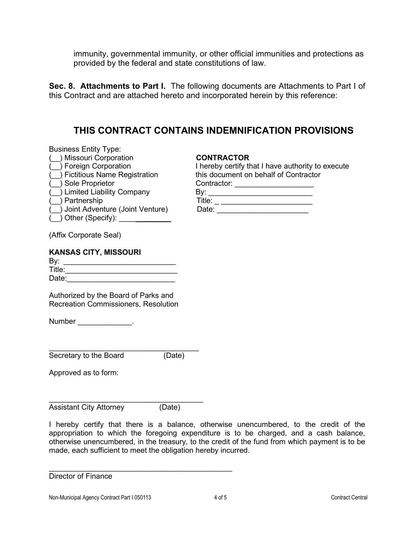immunity, governmental immunity, or other official immunities and protections as provided by the federal and state constitutions of law.

**Sec. 8. Attachments to Part I.** The following documents are Attachments to Part I of this Contract and are attached hereto and incorporated herein by this reference:

# **THIS CONTRACT CONTAINS INDEMNIFICATION PROVISIONS**

| <b>CONTRACTOR</b>                                 |
|---------------------------------------------------|
| I hereby certify that I have authority to execute |
| this document on behalf of Contractor             |
| Contractor:                                       |
| Bv: a                                             |
| $\begin{tabular}{c} \bf{Title:} \end{tabular}$    |
| Date:                                             |
|                                                   |
|                                                   |
|                                                   |
|                                                   |

| Authorized by the Board of Parks and        |
|---------------------------------------------|
| <b>Recreation Commissioners, Resolution</b> |

Date:\_\_\_\_\_\_\_\_\_\_\_\_\_\_\_\_\_\_\_\_\_\_\_\_\_\_

Number the control of the control of the control of the control of the control of the control of the control of the control of the control of the control of the control of the control of the control of the control of the c

 $Title:$ 

\_\_\_\_\_\_\_\_\_\_\_\_\_\_\_\_\_\_\_\_\_\_\_\_\_\_\_\_\_\_\_\_\_\_\_\_ Secretary to the Board (Date)

Approved as to form:

\_\_\_\_\_\_\_\_\_\_\_\_\_\_\_\_\_\_\_\_\_\_\_\_\_\_\_\_\_\_\_\_\_\_\_\_\_ Assistant City Attorney (Date)

\_\_\_\_\_\_\_\_\_\_\_\_\_\_\_\_\_\_\_\_\_\_\_\_\_\_\_\_\_\_\_\_\_\_\_\_\_\_\_\_\_\_\_\_

I hereby certify that there is a balance, otherwise unencumbered, to the credit of the appropriation to which the foregoing expenditure is to be charged, and a cash balance, otherwise unencumbered, in the treasury, to the credit of the fund from which payment is to be made, each sufficient to meet the obligation hereby incurred.

Director of Finance